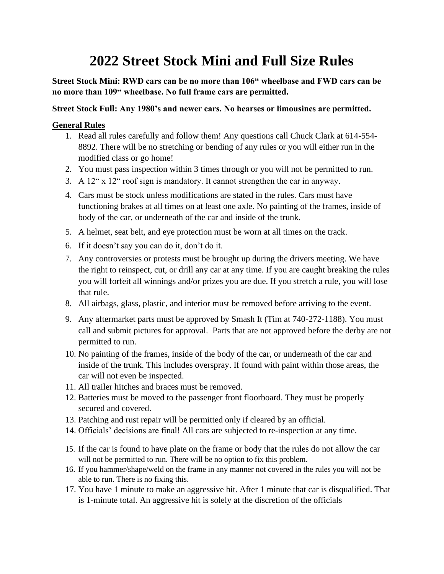## **2022 Street Stock Mini and Full Size Rules**

**Street Stock Mini: RWD cars can be no more than 106" wheelbase and FWD cars can be no more than 109" wheelbase. No full frame cars are permitted.** 

## **Street Stock Full: Any 1980's and newer cars. No hearses or limousines are permitted.**

## **General Rules**

- 1. Read all rules carefully and follow them! Any questions call Chuck Clark at 614-554- 8892. There will be no stretching or bending of any rules or you will either run in the modified class or go home!
- 2. You must pass inspection within 3 times through or you will not be permitted to run.
- 3. A  $12^{\circ}$  x  $12^{\circ}$  roof sign is mandatory. It cannot strengthen the car in anyway.
- 4. Cars must be stock unless modifications are stated in the rules. Cars must have functioning brakes at all times on at least one axle. No painting of the frames, inside of body of the car, or underneath of the car and inside of the trunk.
- 5. A helmet, seat belt, and eye protection must be worn at all times on the track.
- 6. If it doesn't say you can do it, don't do it.
- 7. Any controversies or protests must be brought up during the drivers meeting. We have the right to reinspect, cut, or drill any car at any time. If you are caught breaking the rules you will forfeit all winnings and/or prizes you are due. If you stretch a rule, you will lose that rule.
- 8. All airbags, glass, plastic, and interior must be removed before arriving to the event.
- 9. Any aftermarket parts must be approved by Smash It (Tim at 740-272-1188). You must call and submit pictures for approval. Parts that are not approved before the derby are not permitted to run.
- 10. No painting of the frames, inside of the body of the car, or underneath of the car and inside of the trunk. This includes overspray. If found with paint within those areas, the car will not even be inspected.
- 11. All trailer hitches and braces must be removed.
- 12. Batteries must be moved to the passenger front floorboard. They must be properly secured and covered.
- 13. Patching and rust repair will be permitted only if cleared by an official.
- 14. Officials' decisions are final! All cars are subjected to re-inspection at any time.
- 15. If the car is found to have plate on the frame or body that the rules do not allow the car will not be permitted to run. There will be no option to fix this problem.
- 16. If you hammer/shape/weld on the frame in any manner not covered in the rules you will not be able to run. There is no fixing this.
- 17. You have 1 minute to make an aggressive hit. After 1 minute that car is disqualified. That is 1-minute total. An aggressive hit is solely at the discretion of the officials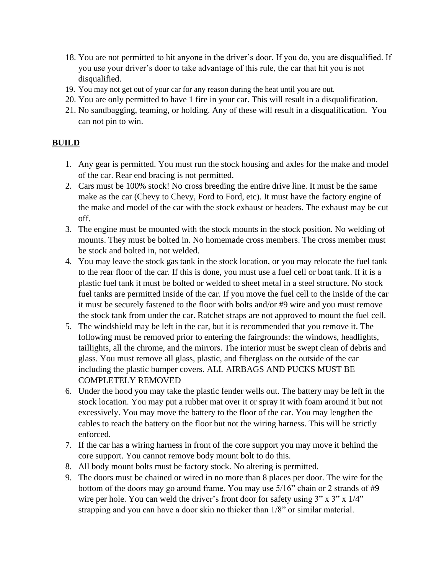- 18. You are not permitted to hit anyone in the driver's door. If you do, you are disqualified. If you use your driver's door to take advantage of this rule, the car that hit you is not disqualified.
- 19. You may not get out of your car for any reason during the heat until you are out.
- 20. You are only permitted to have 1 fire in your car. This will result in a disqualification.
- 21. No sandbagging, teaming, or holding. Any of these will result in a disqualification. You can not pin to win.

## **BUILD**

- 1. Any gear is permitted. You must run the stock housing and axles for the make and model of the car. Rear end bracing is not permitted.
- 2. Cars must be 100% stock! No cross breeding the entire drive line. It must be the same make as the car (Chevy to Chevy, Ford to Ford, etc). It must have the factory engine of the make and model of the car with the stock exhaust or headers. The exhaust may be cut off.
- 3. The engine must be mounted with the stock mounts in the stock position. No welding of mounts. They must be bolted in. No homemade cross members. The cross member must be stock and bolted in, not welded.
- 4. You may leave the stock gas tank in the stock location, or you may relocate the fuel tank to the rear floor of the car. If this is done, you must use a fuel cell or boat tank. If it is a plastic fuel tank it must be bolted or welded to sheet metal in a steel structure. No stock fuel tanks are permitted inside of the car. If you move the fuel cell to the inside of the car it must be securely fastened to the floor with bolts and/or #9 wire and you must remove the stock tank from under the car. Ratchet straps are not approved to mount the fuel cell.
- 5. The windshield may be left in the car, but it is recommended that you remove it. The following must be removed prior to entering the fairgrounds: the windows, headlights, taillights, all the chrome, and the mirrors. The interior must be swept clean of debris and glass. You must remove all glass, plastic, and fiberglass on the outside of the car including the plastic bumper covers. ALL AIRBAGS AND PUCKS MUST BE COMPLETELY REMOVED
- 6. Under the hood you may take the plastic fender wells out. The battery may be left in the stock location. You may put a rubber mat over it or spray it with foam around it but not excessively. You may move the battery to the floor of the car. You may lengthen the cables to reach the battery on the floor but not the wiring harness. This will be strictly enforced.
- 7. If the car has a wiring harness in front of the core support you may move it behind the core support. You cannot remove body mount bolt to do this.
- 8. All body mount bolts must be factory stock. No altering is permitted.
- 9. The doors must be chained or wired in no more than 8 places per door. The wire for the bottom of the doors may go around frame. You may use 5/16" chain or 2 strands of #9 wire per hole. You can weld the driver's front door for safety using  $3"$  x  $3"$  x  $1/4"$ strapping and you can have a door skin no thicker than 1/8" or similar material.